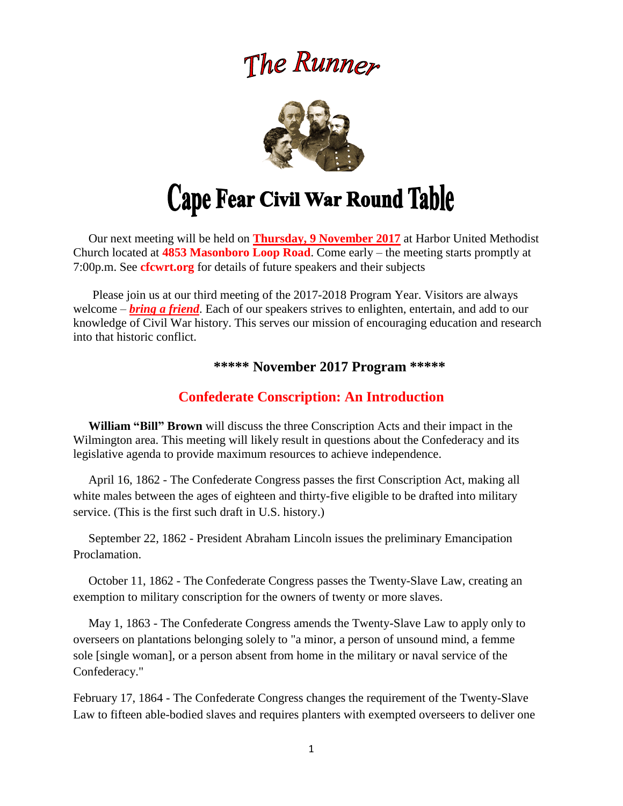# The Runner



# Cape Fear Civil War Round Table

 Our next meeting will be held on **Thursday, 9 November 2017** at Harbor United Methodist Church located at **4853 Masonboro Loop Road**. Come early – the meeting starts promptly at 7:00p.m. See **cfcwrt.org** for details of future speakers and their subjects

 Please join us at our third meeting of the 2017-2018 Program Year. Visitors are always welcome – *bring a friend*. Each of our speakers strives to enlighten, entertain, and add to our knowledge of Civil War history. This serves our mission of encouraging education and research into that historic conflict.

# **\*\*\*\*\* November 2017 Program \*\*\*\*\***

# **Confederate Conscription: An Introduction**

 **William "Bill" Brown** will discuss the three Conscription Acts and their impact in the Wilmington area. This meeting will likely result in questions about the Confederacy and its legislative agenda to provide maximum resources to achieve independence.

 April 16, 1862 - The Confederate Congress passes the first Conscription Act, making all white males between the ages of eighteen and thirty-five eligible to be drafted into military service. (This is the first such draft in U.S. history.)

 September 22, 1862 - President Abraham Lincoln issues the preliminary Emancipation Proclamation.

 October 11, 1862 - The Confederate Congress passes the Twenty-Slave Law, creating an exemption to military conscription for the owners of twenty or more slaves.

 May 1, 1863 - The Confederate Congress amends the Twenty-Slave Law to apply only to overseers on plantations belonging solely to "a minor, a person of unsound mind, a femme sole [single woman], or a person absent from home in the military or naval service of the Confederacy."

February 17, 1864 - The Confederate Congress changes the requirement of the Twenty-Slave Law to fifteen able-bodied slaves and requires planters with exempted overseers to deliver one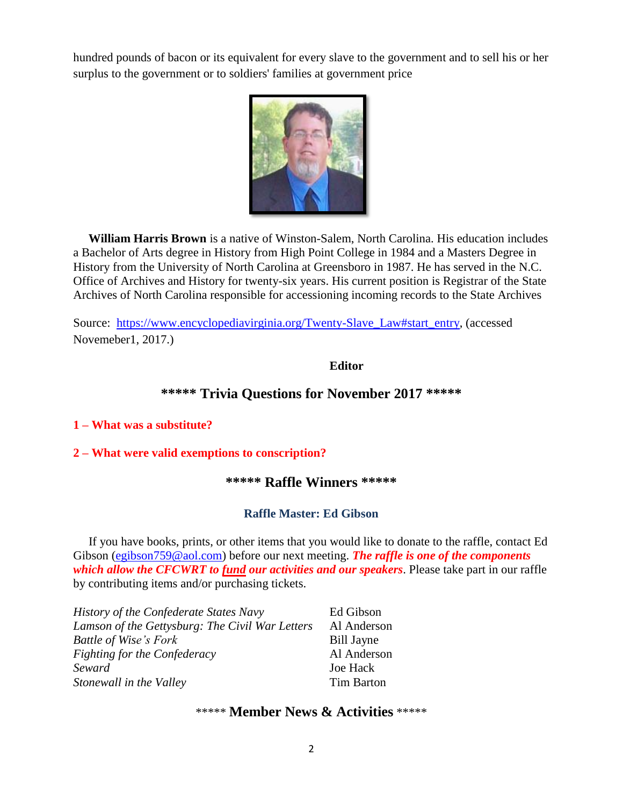hundred pounds of bacon or its equivalent for every slave to the government and to sell his or her surplus to the government or to soldiers' families at government price



 **William Harris Brown** is a native of Winston-Salem, North Carolina. His education includes a Bachelor of Arts degree in History from High Point College in 1984 and a Masters Degree in History from the University of North Carolina at Greensboro in 1987. He has served in the N.C. Office of Archives and History for twenty-six years. His current position is Registrar of the State Archives of North Carolina responsible for accessioning incoming records to the State Archives

Source: [https://www.encyclopediavirginia.org/Twenty-Slave\\_Law#start\\_entry,](https://www.encyclopediavirginia.org/Twenty-Slave_Law#start_entry) (accessed Novemeber1, 2017.)

**Editor** 

# **\*\*\*\*\* Trivia Questions for November 2017 \*\*\*\*\***

#### **1 – What was a substitute?**

#### **2 – What were valid exemptions to conscription?**

# **\*\*\*\*\* Raffle Winners \*\*\*\*\***

# **Raffle Master: Ed Gibson**

If you have books, prints, or other items that you would like to donate to the raffle, contact Ed Gibson [\(egibson759@aol.com\)](mailto:egibson759@aol.com) before our next meeting. *The raffle is one of the components which allow the CFCWRT to fund our activities and our speakers*. Please take part in our raffle by contributing items and/or purchasing tickets.

| <b>History of the Confederate States Navy</b>   | Ed Gibson         |
|-------------------------------------------------|-------------------|
| Lamson of the Gettysburg: The Civil War Letters | Al Anderson       |
| <b>Battle of Wise's Fork</b>                    | <b>Bill Jayne</b> |
| Fighting for the Confederacy                    | Al Anderson       |
| Seward                                          | <b>Joe Hack</b>   |
| Stonewall in the Valley                         | <b>Tim Barton</b> |

# \*\*\*\*\* **Member News & Activities** \*\*\*\*\*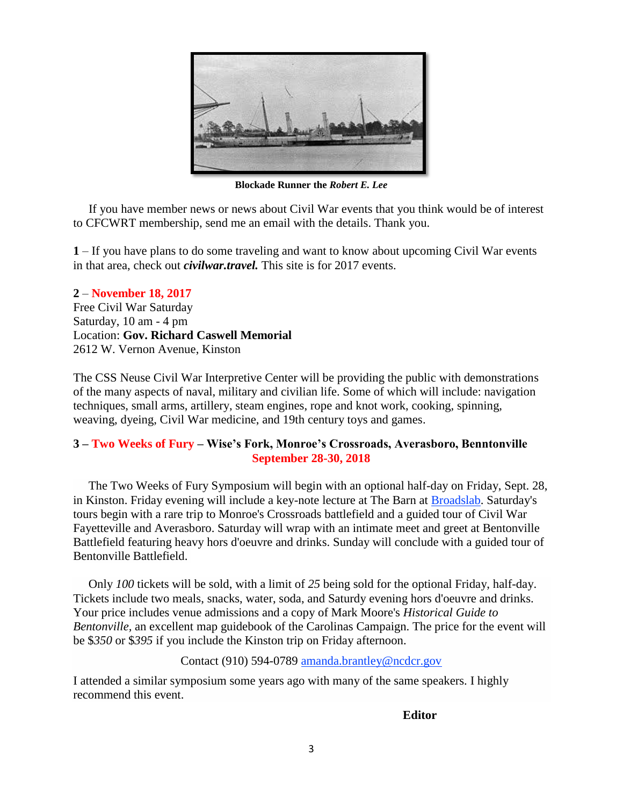

**Blockade Runner the** *Robert E. Lee*

 If you have member news or news about Civil War events that you think would be of interest to CFCWRT membership, send me an email with the details. Thank you.

**1** – If you have plans to do some traveling and want to know about upcoming Civil War events in that area, check out *civilwar.travel.* This site is for 2017 events.

**2** – **November 18, 2017** Free Civil War Saturday Saturday, 10 am - 4 pm Location: **Gov. Richard Caswell Memorial** 2612 W. Vernon Avenue, Kinston

The CSS Neuse Civil War Interpretive Center will be providing the public with demonstrations of the many aspects of naval, military and civilian life. Some of which will include: navigation techniques, small arms, artillery, steam engines, rope and knot work, cooking, spinning, weaving, dyeing, Civil War medicine, and 19th century toys and games.

#### **3 – Two Weeks of Fury – Wise's Fork, Monroe's Crossroads, Averasboro, Benntonville September 28-30, 2018**

 The Two Weeks of Fury Symposium will begin with an optional half-day on Friday, Sept. 28, in Kinston. Friday evening will include a key-note lecture at The Barn at [Broadslab.](http://www.broadslabdistillery.com/) Saturday's tours begin with a rare trip to Monroe's Crossroads battlefield and a guided tour of Civil War Fayetteville and Averasboro. Saturday will wrap with an intimate meet and greet at Bentonville Battlefield featuring heavy hors d'oeuvre and drinks. Sunday will conclude with a guided tour of Bentonville Battlefield.

 Only *100* tickets will be sold, with a limit of *25* being sold for the optional Friday, half-day. Tickets include two meals, snacks, water, soda, and Saturdy evening hors d'oeuvre and drinks. Your price includes venue admissions and a copy of Mark Moore's *Historical Guide to Bentonville,* an excellent map guidebook of the Carolinas Campaign. The price for the event will be \$*350* or \$*395* if you include the Kinston trip on Friday afternoon.

#### Contact (910) 594-0789 [amanda.brantley@ncdcr.gov](mailto:amanda.brantley@ncdcr.gov?subject=Symposium%20&%20Tour)

I attended a similar symposium some years ago with many of the same speakers. I highly recommend this event.

#### **Editor**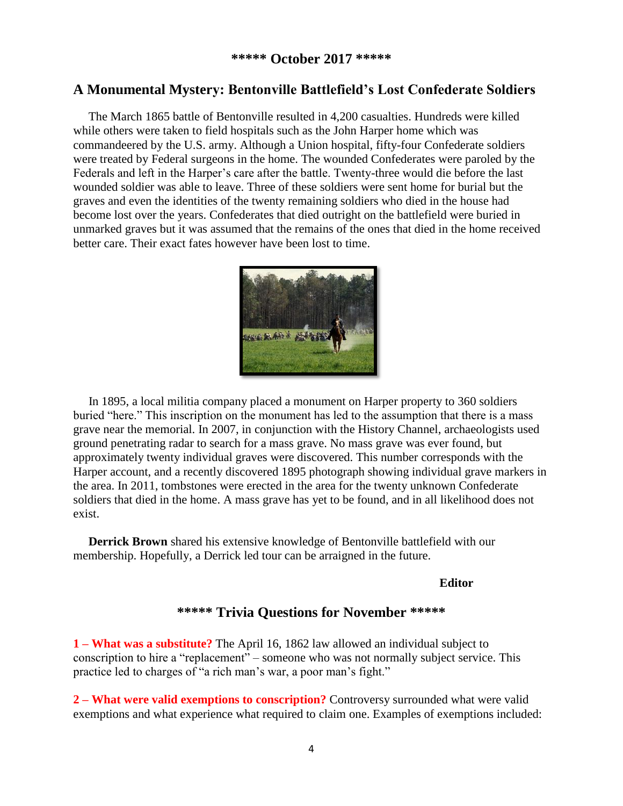# **A Monumental Mystery: Bentonville Battlefield's Lost Confederate Soldiers**

 The March 1865 battle of Bentonville resulted in 4,200 casualties. Hundreds were killed while others were taken to field hospitals such as the John Harper home which was commandeered by the U.S. army. Although a Union hospital, fifty-four Confederate soldiers were treated by Federal surgeons in the home. The wounded Confederates were paroled by the Federals and left in the Harper's care after the battle. Twenty-three would die before the last wounded soldier was able to leave. Three of these soldiers were sent home for burial but the graves and even the identities of the twenty remaining soldiers who died in the house had become lost over the years. Confederates that died outright on the battlefield were buried in unmarked graves but it was assumed that the remains of the ones that died in the home received better care. Their exact fates however have been lost to time.



 In 1895, a local militia company placed a monument on Harper property to 360 soldiers buried "here." This inscription on the monument has led to the assumption that there is a mass grave near the memorial. In 2007, in conjunction with the History Channel, archaeologists used ground penetrating radar to search for a mass grave. No mass grave was ever found, but approximately twenty individual graves were discovered. This number corresponds with the Harper account, and a recently discovered 1895 photograph showing individual grave markers in the area. In 2011, tombstones were erected in the area for the twenty unknown Confederate soldiers that died in the home. A mass grave has yet to be found, and in all likelihood does not exist.

 **Derrick Brown** shared his extensive knowledge of Bentonville battlefield with our membership. Hopefully, a Derrick led tour can be arraigned in the future.

#### **Editor**

# **\*\*\*\*\* Trivia Questions for November \*\*\*\*\***

**1 – What was a substitute?** The April 16, 1862 law allowed an individual subject to conscription to hire a "replacement" – someone who was not normally subject service. This practice led to charges of "a rich man's war, a poor man's fight."

**2 – What were valid exemptions to conscription?** Controversy surrounded what were valid exemptions and what experience what required to claim one. Examples of exemptions included: